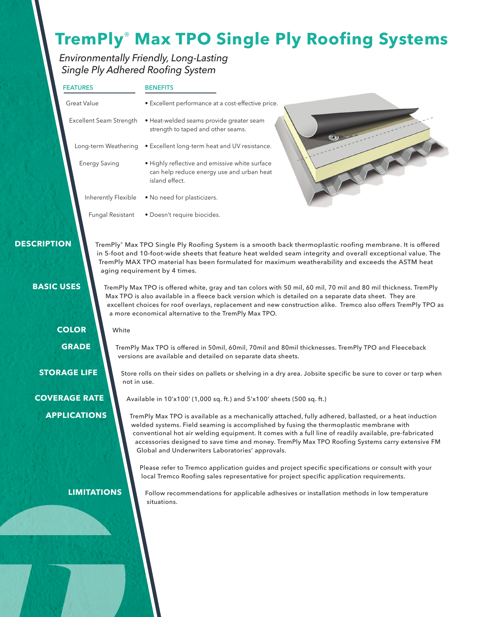## **TremPly**® **Max TPO Single Ply Roofing Systems**

### *Environmentally Friendly, Long-Lasting Single Ply Adhered Roofing System*

|                                         | <b>FEATURES</b>                                                                                                                                                                                                                                                                                                                                                                                                                                                                           | <b>BENEFITS</b><br>· Excellent performance at a cost-effective price.                                                                                                                                                                                                                                                                                                                                                                                                                                                                                                                                                                                                                                                                                                    |  |  |  |  |
|-----------------------------------------|-------------------------------------------------------------------------------------------------------------------------------------------------------------------------------------------------------------------------------------------------------------------------------------------------------------------------------------------------------------------------------------------------------------------------------------------------------------------------------------------|--------------------------------------------------------------------------------------------------------------------------------------------------------------------------------------------------------------------------------------------------------------------------------------------------------------------------------------------------------------------------------------------------------------------------------------------------------------------------------------------------------------------------------------------------------------------------------------------------------------------------------------------------------------------------------------------------------------------------------------------------------------------------|--|--|--|--|
|                                         | <b>Great Value</b>                                                                                                                                                                                                                                                                                                                                                                                                                                                                        |                                                                                                                                                                                                                                                                                                                                                                                                                                                                                                                                                                                                                                                                                                                                                                          |  |  |  |  |
|                                         | Excellent Seam Strength                                                                                                                                                                                                                                                                                                                                                                                                                                                                   | · Heat-welded seams provide greater seam<br>strength to taped and other seams.                                                                                                                                                                                                                                                                                                                                                                                                                                                                                                                                                                                                                                                                                           |  |  |  |  |
|                                         |                                                                                                                                                                                                                                                                                                                                                                                                                                                                                           | Long-term Weathering . Excellent long-term heat and UV resistance.                                                                                                                                                                                                                                                                                                                                                                                                                                                                                                                                                                                                                                                                                                       |  |  |  |  |
|                                         | <b>Energy Saving</b>                                                                                                                                                                                                                                                                                                                                                                                                                                                                      | · Highly reflective and emissive white surface<br>can help reduce energy use and urban heat<br>island effect.                                                                                                                                                                                                                                                                                                                                                                                                                                                                                                                                                                                                                                                            |  |  |  |  |
|                                         | Inherently Flexible                                                                                                                                                                                                                                                                                                                                                                                                                                                                       | . No need for plasticizers.                                                                                                                                                                                                                                                                                                                                                                                                                                                                                                                                                                                                                                                                                                                                              |  |  |  |  |
|                                         | Fungal Resistant                                                                                                                                                                                                                                                                                                                                                                                                                                                                          | · Doesn't require biocides.                                                                                                                                                                                                                                                                                                                                                                                                                                                                                                                                                                                                                                                                                                                                              |  |  |  |  |
| <b>DESCRIPTION</b><br><b>BASIC USES</b> | <b>COLOR</b><br>White                                                                                                                                                                                                                                                                                                                                                                                                                                                                     | TremPly® Max TPO Single Ply Roofing System is a smooth back thermoplastic roofing membrane. It is offered<br>in 5-foot and 10-foot-wide sheets that feature heat welded seam integrity and overall exceptional value. The<br>TremPly MAX TPO material has been formulated for maximum weatherability and exceeds the ASTM heat<br>aging requirement by 4 times.<br>TremPly Max TPO is offered white, gray and tan colors with 50 mil, 60 mil, 70 mil and 80 mil thickness. TremPly<br>Max TPO is also available in a fleece back version which is detailed on a separate data sheet. They are<br>excellent choices for roof overlays, replacement and new construction alike. Tremco also offers TremPly TPO as<br>a more economical alternative to the TremPly Max TPO. |  |  |  |  |
|                                         | <b>GRADE</b>                                                                                                                                                                                                                                                                                                                                                                                                                                                                              | TremPly Max TPO is offered in 50mil, 60mil, 70mil and 80mil thicknesses. TremPly TPO and Fleeceback<br>versions are available and detailed on separate data sheets.                                                                                                                                                                                                                                                                                                                                                                                                                                                                                                                                                                                                      |  |  |  |  |
|                                         | <b>STORAGE LIFE</b><br>Store rolls on their sides on pallets or shelving in a dry area. Jobsite specific be sure to cover or tarp when<br>not in use.                                                                                                                                                                                                                                                                                                                                     |                                                                                                                                                                                                                                                                                                                                                                                                                                                                                                                                                                                                                                                                                                                                                                          |  |  |  |  |
|                                         | <b>COVERAGE RATE</b>                                                                                                                                                                                                                                                                                                                                                                                                                                                                      | Available in 10'x100' (1,000 sq. ft.) and 5'x100' sheets (500 sq. ft.)                                                                                                                                                                                                                                                                                                                                                                                                                                                                                                                                                                                                                                                                                                   |  |  |  |  |
|                                         | <b>APPLICATIONS</b><br>TremPly Max TPO is available as a mechanically attached, fully adhered, ballasted, or a heat induction<br>welded systems. Field seaming is accomplished by fusing the thermoplastic membrane with<br>conventional hot air welding equipment. It comes with a full line of readily available, pre-fabricated<br>accessories designed to save time and money. TremPly Max TPO Roofing Systems carry extensive FM<br>Global and Underwriters Laboratories' approvals. |                                                                                                                                                                                                                                                                                                                                                                                                                                                                                                                                                                                                                                                                                                                                                                          |  |  |  |  |
|                                         |                                                                                                                                                                                                                                                                                                                                                                                                                                                                                           | Please refer to Tremco application guides and project specific specifications or consult with your<br>local Tremco Roofing sales representative for project specific application requirements.                                                                                                                                                                                                                                                                                                                                                                                                                                                                                                                                                                           |  |  |  |  |
|                                         | <b>LIMITATIONS</b>                                                                                                                                                                                                                                                                                                                                                                                                                                                                        | Follow recommendations for applicable adhesives or installation methods in low temperature<br>situations.                                                                                                                                                                                                                                                                                                                                                                                                                                                                                                                                                                                                                                                                |  |  |  |  |
|                                         |                                                                                                                                                                                                                                                                                                                                                                                                                                                                                           |                                                                                                                                                                                                                                                                                                                                                                                                                                                                                                                                                                                                                                                                                                                                                                          |  |  |  |  |